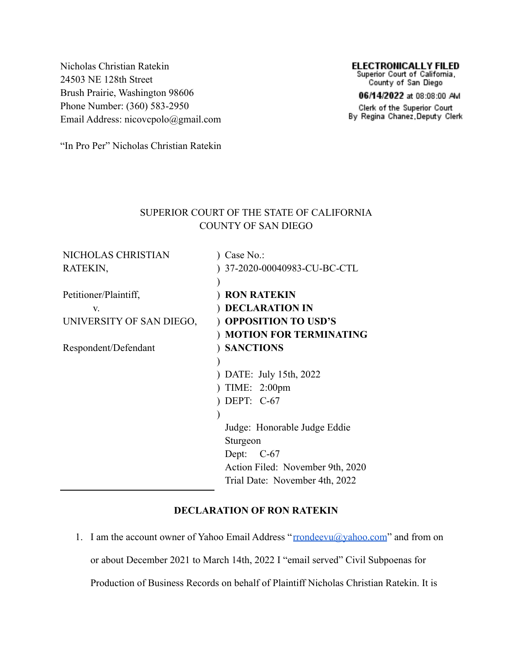Nicholas Christian Ratekin 24503 NE 128th Street Brush Prairie, Washington 98606 Phone Number: (360) 583-2950 Email Address: nicovcpolo@gmail.com

# **ELECTRONICALLY FILED**<br>Superior Court of California,

County of San Diego

06/14/2022 at 08:08:00 AM

Clerk of the Superior Court By Regina Chanez, Deputy Clerk

"In Pro Per" Nicholas Christian Ratekin

## SUPERIOR COURT OF THE STATE OF CALIFORNIA COUNTY OF SAN DIEGO

| NICHOLAS CHRISTIAN       | $)$ Case No.:                    |
|--------------------------|----------------------------------|
| RATEKIN,                 | ) 37-2020-00040983-CU-BC-CTL     |
|                          |                                  |
| Petitioner/Plaintiff,    | <b>RON RATEKIN</b>               |
| V.                       | <b>DECLARATION IN</b>            |
| UNIVERSITY OF SAN DIEGO, | <b>OPPOSITION TO USD'S</b>       |
|                          | <b>MOTION FOR TERMINATING</b>    |
| Respondent/Defendant     | ) SANCTIONS                      |
|                          |                                  |
|                          | DATE: July 15th, 2022            |
|                          | TIME: $2:00 \text{pm}$           |
|                          | DEPT: $C-67$                     |
|                          |                                  |
|                          | Judge: Honorable Judge Eddie     |
|                          | Sturgeon                         |
|                          | Dept:<br>$C-67$                  |
|                          | Action Filed: November 9th, 2020 |
|                          | Trial Date: November 4th, 2022   |
|                          |                                  |

### **DECLARATION OF RON RATEKIN**

1. I am the account owner of Yahoo Email Address "rrondeevu@yahoo.com" and from on or about December 2021 to March 14th, 2022 I "email served" Civil Subpoenas for Production of Business Records on behalf of Plaintiff Nicholas Christian Ratekin. It is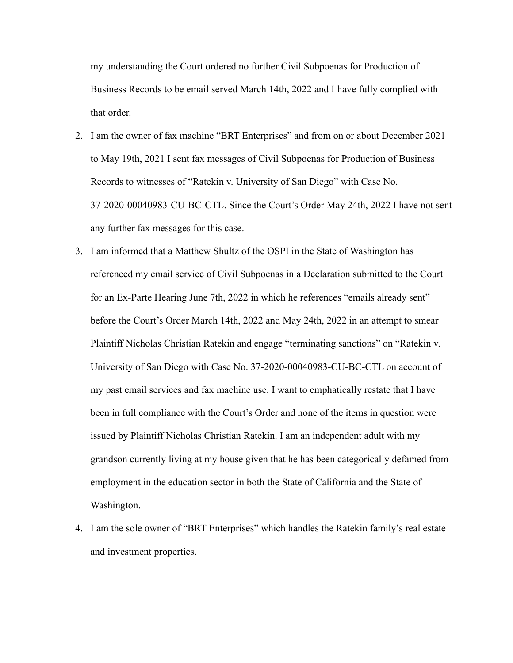my understanding the Court ordered no further Civil Subpoenas for Production of Business Records to be email served March 14th, 2022 and I have fully complied with that order.

- 2. I am the owner of fax machine "BRT Enterprises" and from on or about December 2021 to May 19th, 2021 I sent fax messages of Civil Subpoenas for Production of Business Records to witnesses of "Ratekin v. University of San Diego" with Case No. 37-2020-00040983-CU-BC-CTL. Since the Court's Order May 24th, 2022 I have not sent any further fax messages for this case.
- 3. I am informed that a Matthew Shultz of the OSPI in the State of Washington has referenced my email service of Civil Subpoenas in a Declaration submitted to the Court for an Ex-Parte Hearing June 7th, 2022 in which he references "emails already sent" before the Court's Order March 14th, 2022 and May 24th, 2022 in an attempt to smear Plaintiff Nicholas Christian Ratekin and engage "terminating sanctions" on "Ratekin v. University of San Diego with Case No. 37-2020-00040983-CU-BC-CTL on account of my past email services and fax machine use. I want to emphatically restate that I have been in full compliance with the Court's Order and none of the items in question were issued by Plaintiff Nicholas Christian Ratekin. I am an independent adult with my grandson currently living at my house given that he has been categorically defamed from employment in the education sector in both the State of California and the State of Washington.
- 4. I am the sole owner of "BRT Enterprises" which handles the Ratekin family's real estate and investment properties.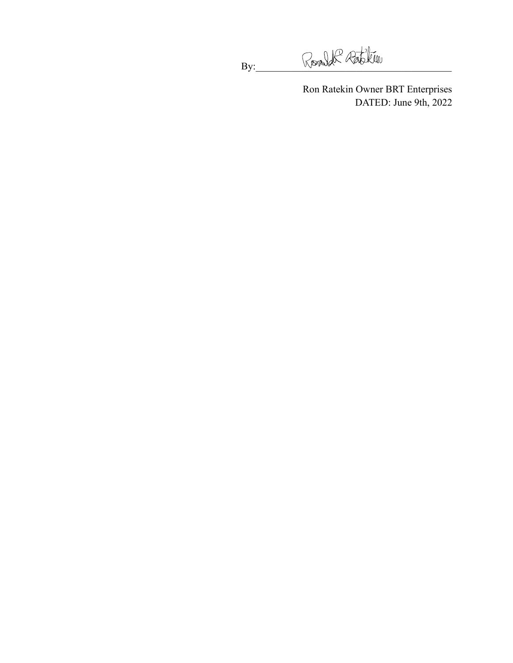By: Ronald Ratchin

Ron Ratekin Owner BRT Enterprises DATED: June 9th, 2022